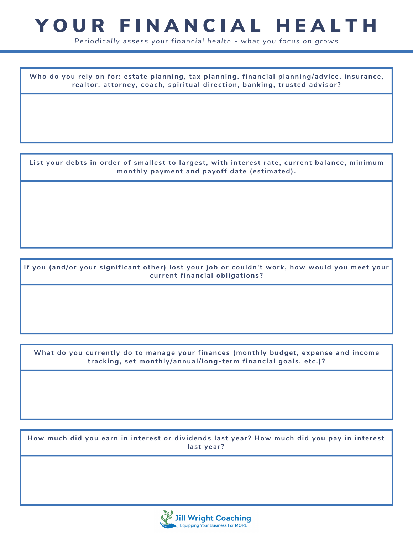## YOUR FINANCIAL HEALTH

*Periodically assess your financial health - what you focus on grows*

**Who do you rely on for: estate planning, tax planning, financial planning/advice, insurance, realtor, attorney, coach, spiritual direction, banking, trusted advisor?**

**List your debts in order of smallest to largest, with interest rate, current balance, minimum monthly payment and payoff date (estimated).**

**If you (and/or your significant other) lost your job or couldn't work, how would you meet your current financial obligations?**

**What do you currently do to manage your finances (monthly budget, expense and income tracking, set monthly/annual/long-term financial goals, etc.)?**

**How much did you earn in interest or dividends last year? How much did you pay in interest last year?**